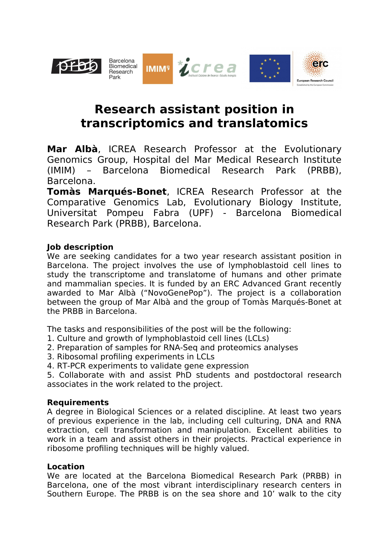

# **Research assistant position in transcriptomics and translatomics**

**Mar Albà**, ICREA Research Professor at the Evolutionary Genomics Group, Hospital del Mar Medical Research Institute (IMIM) – Barcelona Biomedical Research Park (PRBB), Barcelona.

**Tomàs Marqués-Bonet**, ICREA Research Professor at the Comparative Genomics Lab, Evolutionary Biology Institute, Universitat Pompeu Fabra (UPF) - Barcelona Biomedical Research Park (PRBB), Barcelona.

## **Job description**

We are seeking candidates for a two year research assistant position in Barcelona. The project involves the use of lymphoblastoid cell lines to study the transcriptome and translatome of humans and other primate and mammalian species. It is funded by an ERC Advanced Grant recently awarded to Mar Albà ("NovoGenePop"). The project is a collaboration between the group of Mar Albà and the group of Tomàs Marqués-Bonet at the PRBB in Barcelona.

The tasks and responsibilities of the post will be the following:

- 1. Culture and growth of lymphoblastoid cell lines (LCLs)
- 2. Preparation of samples for RNA-Seq and proteomics analyses
- 3. Ribosomal profiling experiments in LCLs
- 4. RT-PCR experiments to validate gene expression

5. Collaborate with and assist PhD students and postdoctoral research associates in the work related to the project.

#### **Requirements**

A degree in Biological Sciences or a related discipline. At least two years of previous experience in the lab, including cell culturing, DNA and RNA extraction, cell transformation and manipulation. Excellent abilities to work in a team and assist others in their projects. Practical experience in ribosome profiling techniques will be highly valued.

#### **Location**

We are located at the Barcelona Biomedical Research Park (PRBB) in Barcelona, one of the most vibrant interdisciplinary research centers in Southern Europe. The PRBB is on the sea shore and 10' walk to the city